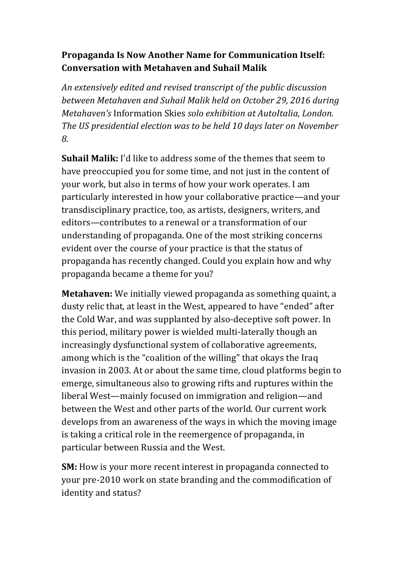## **Propaganda Is Now Another Name for Communication Itself: Conversation with Metahaven and Suhail Malik**

*An extensively edited and revised transcript of the public discussion between Metahaven and Suhail Malik held on October 29, 2016 during Metahaven's* Information Skies *solo exhibition at AutoItalia, London. The US presidential election was to be held 10 days later on November 8.*

**Suhail Malik:** I'd like to address some of the themes that seem to have preoccupied you for some time, and not just in the content of your work, but also in terms of how your work operates. I am particularly interested in how your collaborative practice—and your transdisciplinary practice, too, as artists, designers, writers, and editors—contributes to a renewal or a transformation of our understanding of propaganda. One of the most striking concerns evident over the course of your practice is that the status of propaganda has recently changed. Could you explain how and why propaganda became a theme for you?

**Metahaven:** We initially viewed propaganda as something quaint, a dusty relic that, at least in the West, appeared to have "ended" after the Cold War, and was supplanted by also-deceptive soft power. In this period, military power is wielded multi-laterally though an increasingly dysfunctional system of collaborative agreements, among which is the "coalition of the willing" that okays the Iraq invasion in 2003. At or about the same time, cloud platforms begin to emerge, simultaneous also to growing rifts and ruptures within the liberal West—mainly focused on immigration and religion—and between the West and other parts of the world. Our current work develops from an awareness of the ways in which the moving image is taking a critical role in the reemergence of propaganda, in particular between Russia and the West.

**SM:** How is your more recent interest in propaganda connected to your pre-2010 work on state branding and the commodification of identity and status?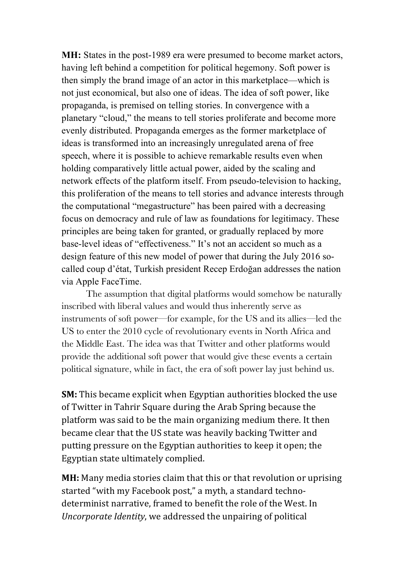**MH:** States in the post-1989 era were presumed to become market actors, having left behind a competition for political hegemony. Soft power is then simply the brand image of an actor in this marketplace—which is not just economical, but also one of ideas. The idea of soft power, like propaganda, is premised on telling stories. In convergence with a planetary "cloud," the means to tell stories proliferate and become more evenly distributed. Propaganda emerges as the former marketplace of ideas is transformed into an increasingly unregulated arena of free speech, where it is possible to achieve remarkable results even when holding comparatively little actual power, aided by the scaling and network effects of the platform itself. From pseudo-television to hacking, this proliferation of the means to tell stories and advance interests through the computational "megastructure" has been paired with a decreasing focus on democracy and rule of law as foundations for legitimacy. These principles are being taken for granted, or gradually replaced by more base-level ideas of "effectiveness." It's not an accident so much as a design feature of this new model of power that during the July 2016 socalled coup d'état, Turkish president Recep Erdoğan addresses the nation via Apple FaceTime.

The assumption that digital platforms would somehow be naturally inscribed with liberal values and would thus inherently serve as instruments of soft power—for example, for the US and its allies—led the US to enter the 2010 cycle of revolutionary events in North Africa and the Middle East. The idea was that Twitter and other platforms would provide the additional soft power that would give these events a certain political signature, while in fact, the era of soft power lay just behind us.

**SM:** This became explicit when Egyptian authorities blocked the use of Twitter in Tahrir Square during the Arab Spring because the platform was said to be the main organizing medium there. It then became clear that the US state was heavily backing Twitter and putting pressure on the Egyptian authorities to keep it open; the Egyptian state ultimately complied.

**MH:** Many media stories claim that this or that revolution or uprising started "with my Facebook post," a myth, a standard technodeterminist narrative, framed to benefit the role of the West. In *Uncorporate Identity*, we addressed the unpairing of political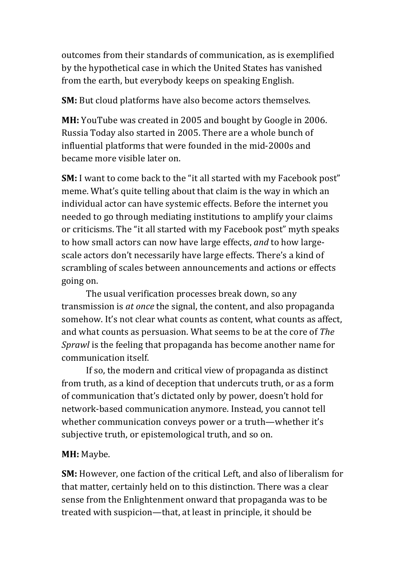outcomes from their standards of communication, as is exemplified by the hypothetical case in which the United States has vanished from the earth, but everybody keeps on speaking English.

**SM:** But cloud platforms have also become actors themselves.

**MH:** YouTube was created in 2005 and bought by Google in 2006. Russia Today also started in 2005. There are a whole bunch of influential platforms that were founded in the mid-2000s and became more visible later on.

**SM:** I want to come back to the "it all started with my Facebook post" meme. What's quite telling about that claim is the way in which an individual actor can have systemic effects. Before the internet you needed to go through mediating institutions to amplify your claims or criticisms. The "it all started with my Facebook post" myth speaks to how small actors can now have large effects, *and* to how largescale actors don't necessarily have large effects. There's a kind of scrambling of scales between announcements and actions or effects going on.

The usual verification processes break down, so any transmission is *at once* the signal, the content, and also propaganda somehow. It's not clear what counts as content, what counts as affect, and what counts as persuasion. What seems to be at the core of *The Sprawl* is the feeling that propaganda has become another name for communication itself.

If so, the modern and critical view of propaganda as distinct from truth, as a kind of deception that undercuts truth, or as a form of communication that's dictated only by power, doesn't hold for network-based communication anymore. Instead, you cannot tell whether communication conveys power or a truth—whether it's subjective truth, or epistemological truth, and so on.

### **MH:** Maybe.

**SM:** However, one faction of the critical Left, and also of liberalism for that matter, certainly held on to this distinction. There was a clear sense from the Enlightenment onward that propaganda was to be treated with suspicion—that, at least in principle, it should be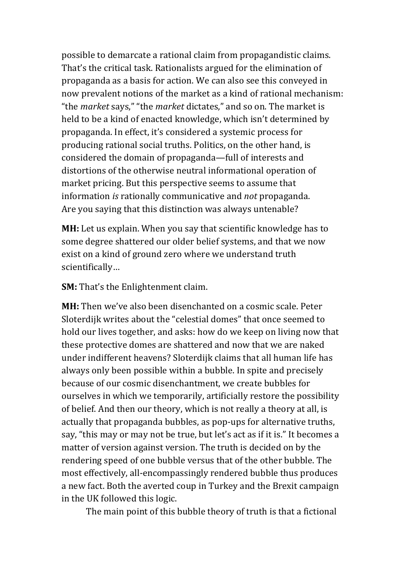possible to demarcate a rational claim from propagandistic claims. That's the critical task. Rationalists argued for the elimination of propaganda as a basis for action. We can also see this conveyed in now prevalent notions of the market as a kind of rational mechanism: "the *market* says," "the *market* dictates," and so on. The market is held to be a kind of enacted knowledge, which isn't determined by propaganda. In effect, it's considered a systemic process for producing rational social truths. Politics, on the other hand, is considered the domain of propaganda—full of interests and distortions of the otherwise neutral informational operation of market pricing. But this perspective seems to assume that information *is* rationally communicative and *not* propaganda. Are you saying that this distinction was always untenable?

**MH:** Let us explain. When you say that scientific knowledge has to some degree shattered our older belief systems, and that we now exist on a kind of ground zero where we understand truth scientifically…

**SM:** That's the Enlightenment claim.

**MH:** Then we've also been disenchanted on a cosmic scale. Peter Sloterdijk writes about the "celestial domes" that once seemed to hold our lives together, and asks: how do we keep on living now that these protective domes are shattered and now that we are naked under indifferent heavens? Sloterdijk claims that all human life has always only been possible within a bubble. In spite and precisely because of our cosmic disenchantment, we create bubbles for ourselves in which we temporarily, artificially restore the possibility of belief. And then our theory, which is not really a theory at all, is actually that propaganda bubbles, as pop-ups for alternative truths, say, "this may or may not be true, but let's act as if it is." It becomes a matter of version against version. The truth is decided on by the rendering speed of one bubble versus that of the other bubble. The most effectively, all-encompassingly rendered bubble thus produces a new fact. Both the averted coup in Turkey and the Brexit campaign in the UK followed this logic.

The main point of this bubble theory of truth is that a fictional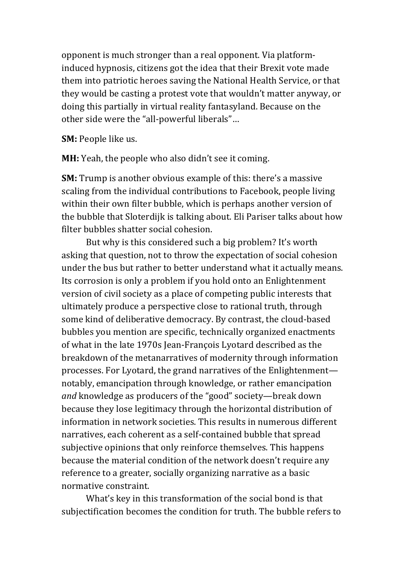opponent is much stronger than a real opponent. Via platforminduced hypnosis, citizens got the idea that their Brexit vote made them into patriotic heroes saving the National Health Service, or that they would be casting a protest vote that wouldn't matter anyway, or doing this partially in virtual reality fantasyland. Because on the other side were the "all-powerful liberals"…

**SM:** People like us.

**MH:** Yeah, the people who also didn't see it coming.

**SM:** Trump is another obvious example of this: there's a massive scaling from the individual contributions to Facebook, people living within their own filter bubble, which is perhaps another version of the bubble that Sloterdijk is talking about. Eli Pariser talks about how filter bubbles shatter social cohesion.

But why is this considered such a big problem? It's worth asking that question, not to throw the expectation of social cohesion under the bus but rather to better understand what it actually means. Its corrosion is only a problem if you hold onto an Enlightenment version of civil society as a place of competing public interests that ultimately produce a perspective close to rational truth, through some kind of deliberative democracy. By contrast, the cloud-based bubbles you mention are specific, technically organized enactments of what in the late 1970s Jean-François Lyotard described as the breakdown of the metanarratives of modernity through information processes. For Lyotard, the grand narratives of the Enlightenment notably, emancipation through knowledge, or rather emancipation *and* knowledge as producers of the "good" society—break down because they lose legitimacy through the horizontal distribution of information in network societies. This results in numerous different narratives, each coherent as a self-contained bubble that spread subjective opinions that only reinforce themselves. This happens because the material condition of the network doesn't require any reference to a greater, socially organizing narrative as a basic normative constraint.

What's key in this transformation of the social bond is that subjectification becomes the condition for truth. The bubble refers to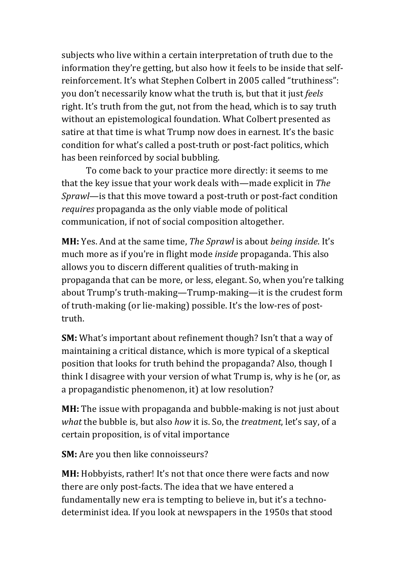subjects who live within a certain interpretation of truth due to the information they're getting, but also how it feels to be inside that selfreinforcement. It's what Stephen Colbert in 2005 called "truthiness": you don't necessarily know what the truth is, but that it just *feels* right. It's truth from the gut, not from the head, which is to say truth without an epistemological foundation. What Colbert presented as satire at that time is what Trump now does in earnest. It's the basic condition for what's called a post-truth or post-fact politics, which has been reinforced by social bubbling.

To come back to your practice more directly: it seems to me that the key issue that your work deals with—made explicit in *The Sprawl*—is that this move toward a post-truth or post-fact condition *requires* propaganda as the only viable mode of political communication, if not of social composition altogether.

**MH:** Yes. And at the same time, *The Sprawl* is about *being inside*. It's much more as if you're in flight mode *inside* propaganda. This also allows you to discern different qualities of truth-making in propaganda that can be more, or less, elegant. So, when you're talking about Trump's truth-making—Trump-making—it is the crudest form of truth-making (or lie-making) possible. It's the low-res of posttruth.

**SM:** What's important about refinement though? Isn't that a way of maintaining a critical distance, which is more typical of a skeptical position that looks for truth behind the propaganda? Also, though I think I disagree with your version of what Trump is, why is he (or, as a propagandistic phenomenon, it) at low resolution?

**MH:** The issue with propaganda and bubble-making is not just about *what* the bubble is, but also *how* it is. So, the *treatment*, let's say, of a certain proposition, is of vital importance

**SM:** Are you then like connoisseurs?

**MH:** Hobbyists, rather! It's not that once there were facts and now there are only post-facts. The idea that we have entered a fundamentally new era is tempting to believe in, but it's a technodeterminist idea. If you look at newspapers in the 1950s that stood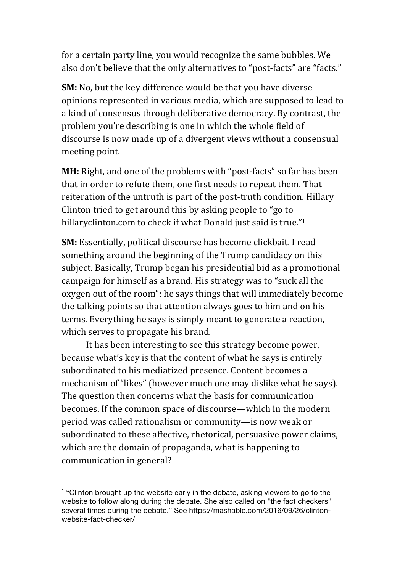for a certain party line, you would recognize the same bubbles. We also don't believe that the only alternatives to "post-facts" are "facts." 

**SM:** No, but the key difference would be that you have diverse opinions represented in various media, which are supposed to lead to a kind of consensus through deliberative democracy. By contrast, the problem you're describing is one in which the whole field of discourse is now made up of a divergent views without a consensual meeting point.

**MH:** Right, and one of the problems with "post-facts" so far has been that in order to refute them, one first needs to repeat them. That reiteration of the untruth is part of the post-truth condition. Hillary Clinton tried to get around this by asking people to "go to hillaryclinton.com to check if what Donald just said is true."<sup>1</sup>

**SM:** Essentially, political discourse has become clickbait. I read something around the beginning of the Trump candidacy on this subject. Basically, Trump began his presidential bid as a promotional campaign for himself as a brand. His strategy was to "suck all the oxygen out of the room": he says things that will immediately become the talking points so that attention always goes to him and on his terms. Everything he says is simply meant to generate a reaction, which serves to propagate his brand.

It has been interesting to see this strategy become power, because what's key is that the content of what he says is entirely subordinated to his mediatized presence. Content becomes a mechanism of "likes" (however much one may dislike what he says). The question then concerns what the basis for communication becomes. If the common space of discourse—which in the modern period was called rationalism or community—is now weak or subordinated to these affective, rhetorical, persuasive power claims, which are the domain of propaganda, what is happening to communication in general?

 $\overline{a}$ 

 $1$  "Clinton brought up the website early in the debate, asking viewers to go to the website to follow along during the debate. She also called on "the fact checkers" several times during the debate." See https://mashable.com/2016/09/26/clintonwebsite-fact-checker/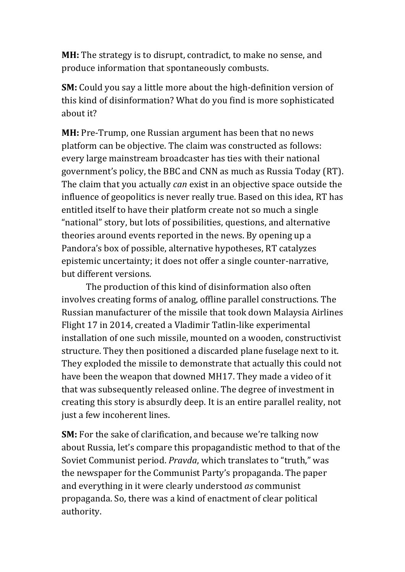**MH:** The strategy is to disrupt, contradict, to make no sense, and produce information that spontaneously combusts.

**SM:** Could you say a little more about the high-definition version of this kind of disinformation? What do you find is more sophisticated about it?

**MH:** Pre-Trump, one Russian argument has been that no news platform can be objective. The claim was constructed as follows: every large mainstream broadcaster has ties with their national government's policy, the BBC and CNN as much as Russia Today (RT). The claim that you actually *can* exist in an objective space outside the influence of geopolitics is never really true. Based on this idea, RT has entitled itself to have their platform create not so much a single "national" story, but lots of possibilities, questions, and alternative theories around events reported in the news. By opening up a Pandora's box of possible, alternative hypotheses, RT catalyzes epistemic uncertainty; it does not offer a single counter-narrative, but different versions.

The production of this kind of disinformation also often involves creating forms of analog, offline parallel constructions. The Russian manufacturer of the missile that took down Malaysia Airlines Flight 17 in 2014, created a Vladimir Tatlin-like experimental installation of one such missile, mounted on a wooden, constructivist structure. They then positioned a discarded plane fuselage next to it. They exploded the missile to demonstrate that actually this could not have been the weapon that downed MH17. They made a video of it that was subsequently released online. The degree of investment in creating this story is absurdly deep. It is an entire parallel reality, not just a few incoherent lines.

**SM:** For the sake of clarification, and because we're talking now about Russia, let's compare this propagandistic method to that of the Soviet Communist period. *Pravda*, which translates to "truth," was the newspaper for the Communist Party's propaganda. The paper and everything in it were clearly understood *as* communist propaganda. So, there was a kind of enactment of clear political authority.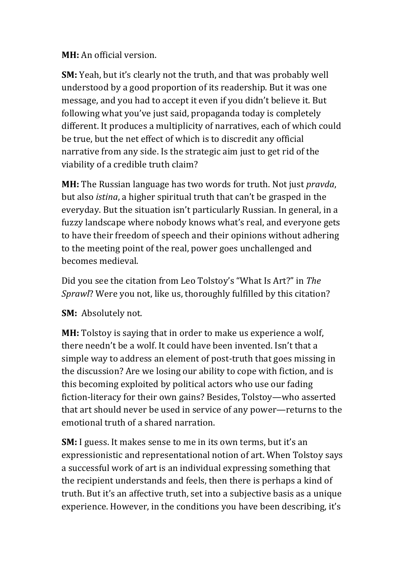**MH:** An official version.

**SM:** Yeah, but it's clearly not the truth, and that was probably well understood by a good proportion of its readership. But it was one message, and you had to accept it even if you didn't believe it. But following what you've just said, propaganda today is completely different. It produces a multiplicity of narratives, each of which could be true, but the net effect of which is to discredit any official narrative from any side. Is the strategic aim just to get rid of the viability of a credible truth claim?

**MH:** The Russian language has two words for truth. Not just *pravda*, but also *istina*, a higher spiritual truth that can't be grasped in the everyday. But the situation isn't particularly Russian. In general, in a fuzzy landscape where nobody knows what's real, and everyone gets to have their freedom of speech and their opinions without adhering to the meeting point of the real, power goes unchallenged and becomes medieval.

Did you see the citation from Leo Tolstoy's "What Is Art?" in *The Sprawl*? Were you not, like us, thoroughly fulfilled by this citation?

**SM:** Absolutely not.

**MH:** Tolstoy is saying that in order to make us experience a wolf, there needn't be a wolf. It could have been invented. Isn't that a simple way to address an element of post-truth that goes missing in the discussion? Are we losing our ability to cope with fiction, and is this becoming exploited by political actors who use our fading fiction-literacy for their own gains? Besides, Tolstoy—who asserted that art should never be used in service of any power—returns to the emotional truth of a shared narration.

**SM:** I guess. It makes sense to me in its own terms, but it's an expressionistic and representational notion of art. When Tolstoy says a successful work of art is an individual expressing something that the recipient understands and feels, then there is perhaps a kind of truth. But it's an affective truth, set into a subjective basis as a unique experience. However, in the conditions you have been describing, it's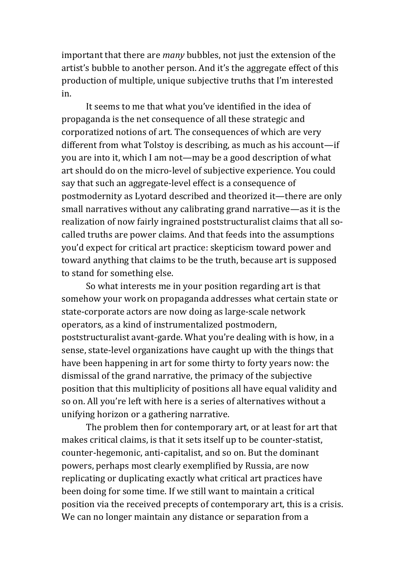important that there are *many* bubbles, not just the extension of the artist's bubble to another person. And it's the aggregate effect of this production of multiple, unique subjective truths that I'm interested in.

It seems to me that what you've identified in the idea of propaganda is the net consequence of all these strategic and corporatized notions of art. The consequences of which are very different from what Tolstoy is describing, as much as his account—if you are into it, which I am not—may be a good description of what art should do on the micro-level of subjective experience. You could say that such an aggregate-level effect is a consequence of postmodernity as Lyotard described and theorized it—there are only small narratives without any calibrating grand narrative—as it is the realization of now fairly ingrained poststructuralist claims that all socalled truths are power claims. And that feeds into the assumptions you'd expect for critical art practice: skepticism toward power and toward anything that claims to be the truth, because art is supposed to stand for something else.

So what interests me in your position regarding art is that somehow your work on propaganda addresses what certain state or state-corporate actors are now doing as large-scale network operators, as a kind of instrumentalized postmodern, poststructuralist avant-garde. What you're dealing with is how, in a sense, state-level organizations have caught up with the things that have been happening in art for some thirty to forty years now: the dismissal of the grand narrative, the primacy of the subjective position that this multiplicity of positions all have equal validity and so on. All you're left with here is a series of alternatives without a unifying horizon or a gathering narrative.

The problem then for contemporary art, or at least for art that makes critical claims, is that it sets itself up to be counter-statist, counter-hegemonic, anti-capitalist, and so on. But the dominant powers, perhaps most clearly exemplified by Russia, are now replicating or duplicating exactly what critical art practices have been doing for some time. If we still want to maintain a critical position via the received precepts of contemporary art, this is a crisis. We can no longer maintain any distance or separation from a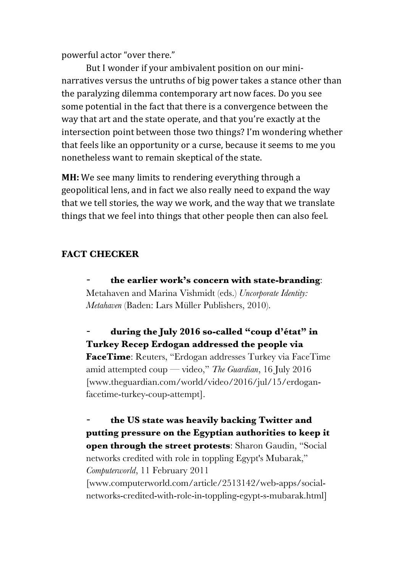powerful actor "over there."

But I wonder if your ambivalent position on our mininarratives versus the untruths of big power takes a stance other than the paralyzing dilemma contemporary art now faces. Do you see some potential in the fact that there is a convergence between the way that art and the state operate, and that you're exactly at the intersection point between those two things? I'm wondering whether that feels like an opportunity or a curse, because it seems to me you nonetheless want to remain skeptical of the state.

**MH:** We see many limits to rendering everything through a geopolitical lens, and in fact we also really need to expand the way that we tell stories, the way we work, and the way that we translate things that we feel into things that other people then can also feel.

## **FACT CHECKER**

*-* **the earlier work's concern with state-branding**: Metahaven and Marina Vishmidt (eds.) *Uncorporate Identity: Metahaven* (Baden: Lars Müller Publishers, 2010).

*-* **during the July 2016 so-called "coup d'état" in Turkey Recep Erdogan addressed the people via FaceTime**: Reuters, "Erdogan addresses Turkey via FaceTime amid attempted coup — video," *The Guardian*, 16 July 2016 [www.theguardian.com/world/video/2016/jul/15/erdoganfacetime-turkey-coup-attempt].

*-* **the US state was heavily backing Twitter and putting pressure on the Egyptian authorities to keep it open through the street protests**: Sharon Gaudin, "Social networks credited with role in toppling Egypt's Mubarak," *Computerworld*, 11 February 2011 [www.computerworld.com/article/2513142/web-apps/socialnetworks-credited-with-role-in-toppling-egypt-s-mubarak.html]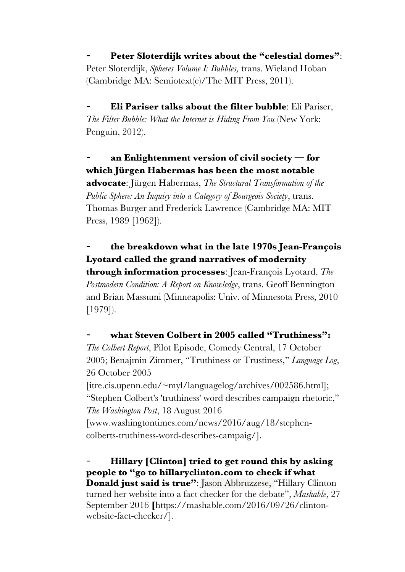*-* **Peter Sloterdijk writes about the "celestial domes"**: Peter Sloterdijk, *Spheres Volume I: Bubbles,* trans. Wieland Hoban (Cambridge MA: Semiotext(e)/The MIT Press, 2011).

*-* **Eli Pariser talks about the filter bubble**: Eli Pariser, *The Filter Bubble: What the Internet is Hiding From You* (New York: Penguin, 2012).

*-* **an Enlightenment version of civil society — for which Jürgen Habermas has been the most notable advocate**: Jürgen Habermas, *The Structural Transformation of the Public Sphere: An Inquiry into a Category of Bourgeois Society*, trans. Thomas Burger and Frederick Lawrence (Cambridge MA: MIT

Press, 1989 [1962]).

# *-* **the breakdown what in the late 1970s Jean-François Lyotard called the grand narratives of modernity**

**through information processes**: Jean-François Lyotard, *The Postmodern Condition: A Report on Knowledge*, trans. Geoff Bennington and Brian Massumi (Minneapolis: Univ. of Minnesota Press, 2010 [1979]).

### *-* **what Steven Colbert in 2005 called "Truthiness":**

*The Colbert Report*, Pilot Episode, Comedy Central, 17 October 2005; Benajmin Zimmer, "Truthiness or Trustiness," *Language Log*, 26 October 2005

[itre.cis.upenn.edu/~myl/languagelog/archives/002586.html]; "Stephen Colbert's 'truthiness' word describes campaign rhetoric," *The Washington Post*, 18 August 2016

[www.washingtontimes.com/news/2016/aug/18/stephencolberts-truthiness-word-describes-campaig/].

*-* **Hillary [Clinton] tried to get round this by asking people to "go to hillaryclinton.com to check if what Donald just said is true"**: Jason Abbruzzese, "Hillary Clinton turned her website into a fact checker for the debate", *Mashable*, 27 September 2016 **[**https://mashable.com/2016/09/26/clintonwebsite-fact-checker/].